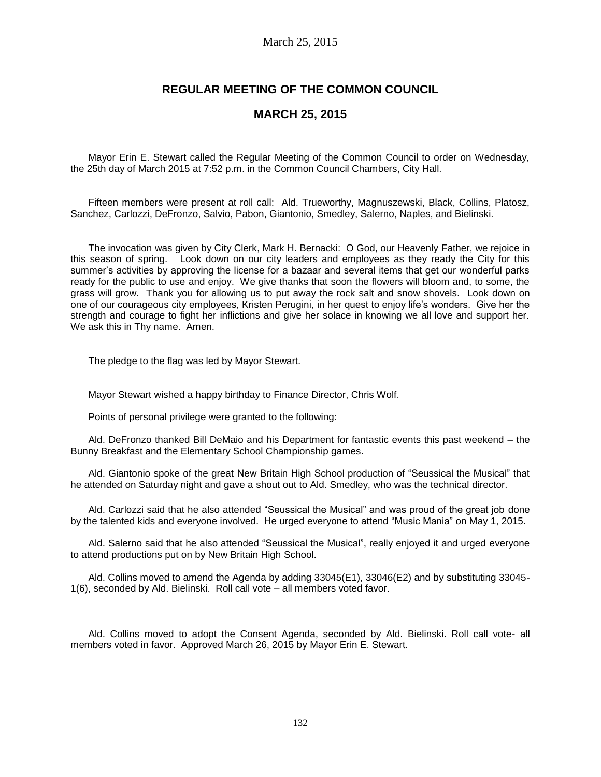# **REGULAR MEETING OF THE COMMON COUNCIL**

## **MARCH 25, 2015**

Mayor Erin E. Stewart called the Regular Meeting of the Common Council to order on Wednesday, the 25th day of March 2015 at 7:52 p.m. in the Common Council Chambers, City Hall.

Fifteen members were present at roll call: Ald. Trueworthy, Magnuszewski, Black, Collins, Platosz, Sanchez, Carlozzi, DeFronzo, Salvio, Pabon, Giantonio, Smedley, Salerno, Naples, and Bielinski.

The invocation was given by City Clerk, Mark H. Bernacki: O God, our Heavenly Father, we rejoice in this season of spring. Look down on our city leaders and employees as they ready the City for this summer's activities by approving the license for a bazaar and several items that get our wonderful parks ready for the public to use and enjoy. We give thanks that soon the flowers will bloom and, to some, the grass will grow. Thank you for allowing us to put away the rock salt and snow shovels. Look down on one of our courageous city employees, Kristen Perugini, in her quest to enjoy life's wonders. Give her the strength and courage to fight her inflictions and give her solace in knowing we all love and support her. We ask this in Thy name. Amen.

The pledge to the flag was led by Mayor Stewart.

Mayor Stewart wished a happy birthday to Finance Director, Chris Wolf.

Points of personal privilege were granted to the following:

Ald. DeFronzo thanked Bill DeMaio and his Department for fantastic events this past weekend – the Bunny Breakfast and the Elementary School Championship games.

Ald. Giantonio spoke of the great New Britain High School production of "Seussical the Musical" that he attended on Saturday night and gave a shout out to Ald. Smedley, who was the technical director.

Ald. Carlozzi said that he also attended "Seussical the Musical" and was proud of the great job done by the talented kids and everyone involved. He urged everyone to attend "Music Mania" on May 1, 2015.

Ald. Salerno said that he also attended "Seussical the Musical", really enjoyed it and urged everyone to attend productions put on by New Britain High School.

Ald. Collins moved to amend the Agenda by adding 33045(E1), 33046(E2) and by substituting 33045- 1(6), seconded by Ald. Bielinski. Roll call vote – all members voted favor.

Ald. Collins moved to adopt the Consent Agenda, seconded by Ald. Bielinski. Roll call vote- all members voted in favor. Approved March 26, 2015 by Mayor Erin E. Stewart.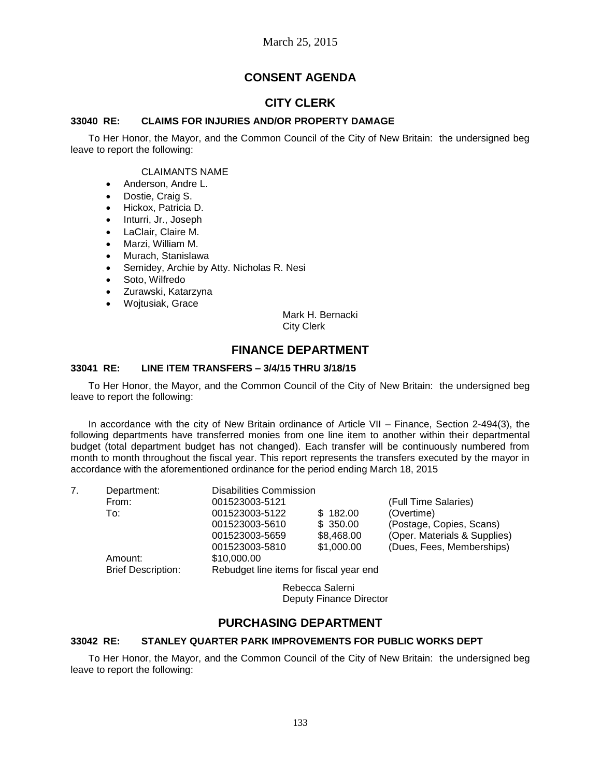# **CONSENT AGENDA**

# **CITY CLERK**

## **33040 RE: CLAIMS FOR INJURIES AND/OR PROPERTY DAMAGE**

To Her Honor, the Mayor, and the Common Council of the City of New Britain: the undersigned beg leave to report the following:

### CLAIMANTS NAME

- Anderson, Andre L.
- Dostie, Craig S.
- Hickox, Patricia D.
- Inturri, Jr., Joseph
- LaClair, Claire M.
- Marzi, William M.
- Murach, Stanislawa
- Semidey, Archie by Atty. Nicholas R. Nesi
- Soto, Wilfredo
- Zurawski, Katarzyna
- Wojtusiak, Grace

Mark H. Bernacki City Clerk

## **FINANCE DEPARTMENT**

### **33041 RE: LINE ITEM TRANSFERS – 3/4/15 THRU 3/18/15**

To Her Honor, the Mayor, and the Common Council of the City of New Britain: the undersigned beg leave to report the following:

In accordance with the city of New Britain ordinance of Article VII – Finance, Section 2-494(3), the following departments have transferred monies from one line item to another within their departmental budget (total department budget has not changed). Each transfer will be continuously numbered from month to month throughout the fiscal year. This report represents the transfers executed by the mayor in accordance with the aforementioned ordinance for the period ending March 18, 2015

| 7. | Department:               | <b>Disabilities Commission</b>          |            |                              |  |
|----|---------------------------|-----------------------------------------|------------|------------------------------|--|
|    | From:                     | 001523003-5121                          |            | (Full Time Salaries)         |  |
|    | To:                       | 001523003-5122                          | \$182.00   | (Overtime)                   |  |
|    |                           | 001523003-5610                          | \$350.00   | (Postage, Copies, Scans)     |  |
|    |                           | 001523003-5659                          | \$8,468.00 | (Oper. Materials & Supplies) |  |
|    |                           | 001523003-5810                          | \$1,000.00 | (Dues, Fees, Memberships)    |  |
|    | Amount:                   | \$10,000.00                             |            |                              |  |
|    | <b>Brief Description:</b> | Rebudget line items for fiscal year end |            |                              |  |
|    | Dohoooo Colorni           |                                         |            |                              |  |

Rebecca Salerni Deputy Finance Director

# **PURCHASING DEPARTMENT**

### **33042 RE: STANLEY QUARTER PARK IMPROVEMENTS FOR PUBLIC WORKS DEPT**

To Her Honor, the Mayor, and the Common Council of the City of New Britain: the undersigned beg leave to report the following: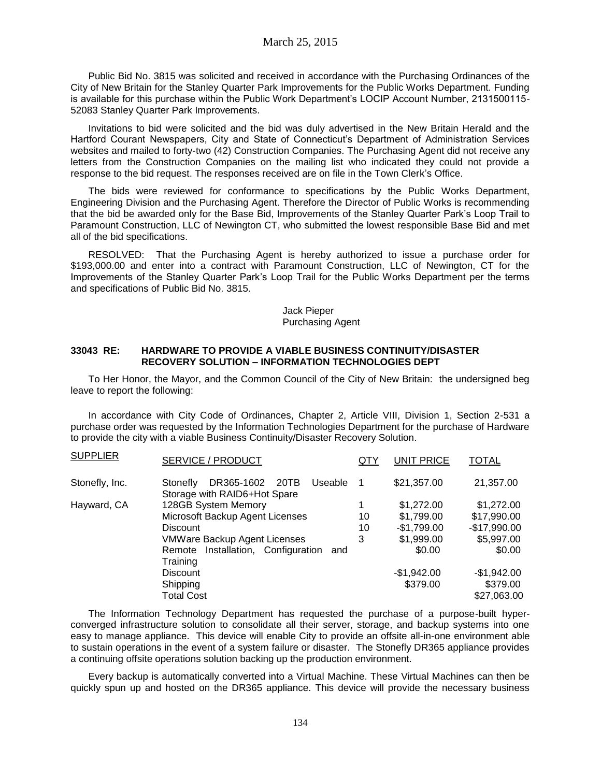Public Bid No. 3815 was solicited and received in accordance with the Purchasing Ordinances of the City of New Britain for the Stanley Quarter Park Improvements for the Public Works Department. Funding is available for this purchase within the Public Work Department's LOCIP Account Number, 2131500115- 52083 Stanley Quarter Park Improvements.

Invitations to bid were solicited and the bid was duly advertised in the New Britain Herald and the Hartford Courant Newspapers, City and State of Connecticut's Department of Administration Services websites and mailed to forty-two (42) Construction Companies. The Purchasing Agent did not receive any letters from the Construction Companies on the mailing list who indicated they could not provide a response to the bid request. The responses received are on file in the Town Clerk's Office.

The bids were reviewed for conformance to specifications by the Public Works Department, Engineering Division and the Purchasing Agent. Therefore the Director of Public Works is recommending that the bid be awarded only for the Base Bid, Improvements of the Stanley Quarter Park's Loop Trail to Paramount Construction, LLC of Newington CT, who submitted the lowest responsible Base Bid and met all of the bid specifications.

RESOLVED: That the Purchasing Agent is hereby authorized to issue a purchase order for \$193,000.00 and enter into a contract with Paramount Construction, LLC of Newington, CT for the Improvements of the Stanley Quarter Park's Loop Trail for the Public Works Department per the terms and specifications of Public Bid No. 3815.

#### Jack Pieper Purchasing Agent

#### **33043 RE: HARDWARE TO PROVIDE A VIABLE BUSINESS CONTINUITY/DISASTER RECOVERY SOLUTION – INFORMATION TECHNOLOGIES DEPT**

To Her Honor, the Mayor, and the Common Council of the City of New Britain: the undersigned beg leave to report the following:

In accordance with City Code of Ordinances, Chapter 2, Article VIII, Division 1, Section 2-531 a purchase order was requested by the Information Technologies Department for the purchase of Hardware to provide the city with a viable Business Continuity/Disaster Recovery Solution.

| <b>SUPPLIER</b> | SERVICE / PRODUCT                                                      | QTY            | <b>UNIT PRICE</b> | <b>TOTAL</b>  |
|-----------------|------------------------------------------------------------------------|----------------|-------------------|---------------|
| Stonefly, Inc.  | DR365-1602 20TB<br>Useable<br>Stonefly<br>Storage with RAID6+Hot Spare | $\overline{1}$ | \$21,357.00       | 21,357.00     |
| Hayward, CA     | 128GB System Memory                                                    |                | \$1,272.00        | \$1,272.00    |
|                 | Microsoft Backup Agent Licenses                                        | 10             | \$1,799.00        | \$17,990.00   |
|                 | <b>Discount</b>                                                        | 10             | $-$1,799.00$      | $-$17,990.00$ |
|                 | <b>VMWare Backup Agent Licenses</b>                                    | 3              | \$1,999.00        | \$5,997.00    |
|                 | Installation, Configuration<br>Remote<br>and<br>Training               |                | \$0.00            | \$0.00        |
|                 | Discount                                                               |                | $-$1,942.00$      | $-$1,942.00$  |
|                 | Shipping                                                               |                | \$379.00          | \$379.00      |
|                 | <b>Total Cost</b>                                                      |                |                   | \$27,063.00   |

The Information Technology Department has requested the purchase of a purpose-built hyperconverged infrastructure solution to consolidate all their server, storage, and backup systems into one easy to manage appliance. This device will enable City to provide an offsite all-in-one environment able to sustain operations in the event of a system failure or disaster. The Stonefly DR365 appliance provides a continuing offsite operations solution backing up the production environment.

Every backup is automatically converted into a Virtual Machine. These Virtual Machines can then be quickly spun up and hosted on the DR365 appliance. This device will provide the necessary business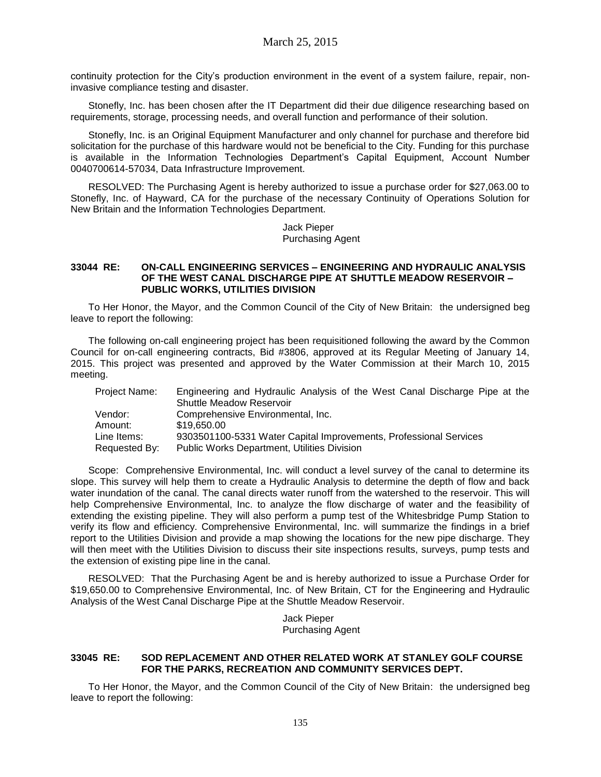continuity protection for the City's production environment in the event of a system failure, repair, noninvasive compliance testing and disaster.

Stonefly, Inc. has been chosen after the IT Department did their due diligence researching based on requirements, storage, processing needs, and overall function and performance of their solution.

Stonefly, Inc. is an Original Equipment Manufacturer and only channel for purchase and therefore bid solicitation for the purchase of this hardware would not be beneficial to the City. Funding for this purchase is available in the Information Technologies Department's Capital Equipment, Account Number 0040700614-57034, Data Infrastructure Improvement.

RESOLVED: The Purchasing Agent is hereby authorized to issue a purchase order for \$27,063.00 to Stonefly, Inc. of Hayward, CA for the purchase of the necessary Continuity of Operations Solution for New Britain and the Information Technologies Department.

> Jack Pieper Purchasing Agent

#### **33044 RE: ON-CALL ENGINEERING SERVICES – ENGINEERING AND HYDRAULIC ANALYSIS OF THE WEST CANAL DISCHARGE PIPE AT SHUTTLE MEADOW RESERVOIR – PUBLIC WORKS, UTILITIES DIVISION**

To Her Honor, the Mayor, and the Common Council of the City of New Britain: the undersigned beg leave to report the following:

The following on-call engineering project has been requisitioned following the award by the Common Council for on-call engineering contracts, Bid #3806, approved at its Regular Meeting of January 14, 2015. This project was presented and approved by the Water Commission at their March 10, 2015 meeting.

| Engineering and Hydraulic Analysis of the West Canal Discharge Pipe at the<br><b>Project Name:</b><br><b>Shuttle Meadow Reservoir</b> |  |
|---------------------------------------------------------------------------------------------------------------------------------------|--|
| Comprehensive Environmental, Inc.<br>Vendor:                                                                                          |  |
| \$19,650,00<br>Amount:                                                                                                                |  |
| 9303501100-5331 Water Capital Improvements, Professional Services<br>Line Items:                                                      |  |
| <b>Public Works Department, Utilities Division</b><br>Requested By:                                                                   |  |

Scope: Comprehensive Environmental, Inc. will conduct a level survey of the canal to determine its slope. This survey will help them to create a Hydraulic Analysis to determine the depth of flow and back water inundation of the canal. The canal directs water runoff from the watershed to the reservoir. This will help Comprehensive Environmental, Inc. to analyze the flow discharge of water and the feasibility of extending the existing pipeline. They will also perform a pump test of the Whitesbridge Pump Station to verify its flow and efficiency. Comprehensive Environmental, Inc. will summarize the findings in a brief report to the Utilities Division and provide a map showing the locations for the new pipe discharge. They will then meet with the Utilities Division to discuss their site inspections results, surveys, pump tests and the extension of existing pipe line in the canal.

RESOLVED: That the Purchasing Agent be and is hereby authorized to issue a Purchase Order for \$19,650.00 to Comprehensive Environmental, Inc. of New Britain, CT for the Engineering and Hydraulic Analysis of the West Canal Discharge Pipe at the Shuttle Meadow Reservoir.

> Jack Pieper Purchasing Agent

### **33045 RE: SOD REPLACEMENT AND OTHER RELATED WORK AT STANLEY GOLF COURSE FOR THE PARKS, RECREATION AND COMMUNITY SERVICES DEPT.**

To Her Honor, the Mayor, and the Common Council of the City of New Britain: the undersigned beg leave to report the following: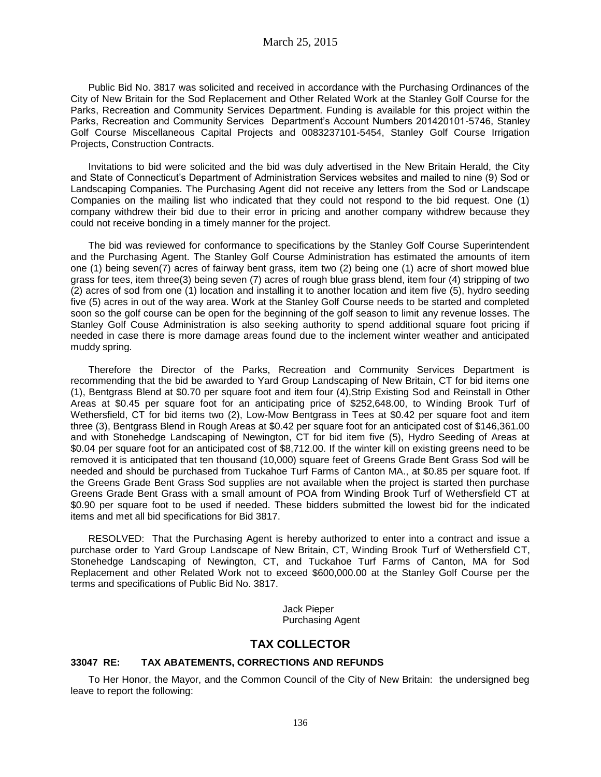Public Bid No. 3817 was solicited and received in accordance with the Purchasing Ordinances of the City of New Britain for the Sod Replacement and Other Related Work at the Stanley Golf Course for the Parks, Recreation and Community Services Department. Funding is available for this project within the Parks, Recreation and Community Services Department's Account Numbers 201420101-5746, Stanley Golf Course Miscellaneous Capital Projects and 0083237101-5454, Stanley Golf Course Irrigation Projects, Construction Contracts.

Invitations to bid were solicited and the bid was duly advertised in the New Britain Herald, the City and State of Connecticut's Department of Administration Services websites and mailed to nine (9) Sod or Landscaping Companies. The Purchasing Agent did not receive any letters from the Sod or Landscape Companies on the mailing list who indicated that they could not respond to the bid request. One (1) company withdrew their bid due to their error in pricing and another company withdrew because they could not receive bonding in a timely manner for the project.

The bid was reviewed for conformance to specifications by the Stanley Golf Course Superintendent and the Purchasing Agent. The Stanley Golf Course Administration has estimated the amounts of item one (1) being seven(7) acres of fairway bent grass, item two (2) being one (1) acre of short mowed blue grass for tees, item three(3) being seven (7) acres of rough blue grass blend, item four (4) stripping of two (2) acres of sod from one (1) location and installing it to another location and item five (5), hydro seeding five (5) acres in out of the way area. Work at the Stanley Golf Course needs to be started and completed soon so the golf course can be open for the beginning of the golf season to limit any revenue losses. The Stanley Golf Couse Administration is also seeking authority to spend additional square foot pricing if needed in case there is more damage areas found due to the inclement winter weather and anticipated muddy spring.

Therefore the Director of the Parks, Recreation and Community Services Department is recommending that the bid be awarded to Yard Group Landscaping of New Britain, CT for bid items one (1), Bentgrass Blend at \$0.70 per square foot and item four (4),Strip Existing Sod and Reinstall in Other Areas at \$0.45 per square foot for an anticipating price of \$252,648.00, to Winding Brook Turf of Wethersfield, CT for bid items two (2), Low-Mow Bentgrass in Tees at \$0.42 per square foot and item three (3), Bentgrass Blend in Rough Areas at \$0.42 per square foot for an anticipated cost of \$146,361.00 and with Stonehedge Landscaping of Newington, CT for bid item five (5), Hydro Seeding of Areas at \$0.04 per square foot for an anticipated cost of \$8,712.00. If the winter kill on existing greens need to be removed it is anticipated that ten thousand (10,000) square feet of Greens Grade Bent Grass Sod will be needed and should be purchased from Tuckahoe Turf Farms of Canton MA., at \$0.85 per square foot. If the Greens Grade Bent Grass Sod supplies are not available when the project is started then purchase Greens Grade Bent Grass with a small amount of POA from Winding Brook Turf of Wethersfield CT at \$0.90 per square foot to be used if needed. These bidders submitted the lowest bid for the indicated items and met all bid specifications for Bid 3817.

RESOLVED: That the Purchasing Agent is hereby authorized to enter into a contract and issue a purchase order to Yard Group Landscape of New Britain, CT, Winding Brook Turf of Wethersfield CT, Stonehedge Landscaping of Newington, CT, and Tuckahoe Turf Farms of Canton, MA for Sod Replacement and other Related Work not to exceed \$600,000.00 at the Stanley Golf Course per the terms and specifications of Public Bid No. 3817.

> Jack Pieper Purchasing Agent

## **TAX COLLECTOR**

### **33047 RE: TAX ABATEMENTS, CORRECTIONS AND REFUNDS**

To Her Honor, the Mayor, and the Common Council of the City of New Britain: the undersigned beg leave to report the following: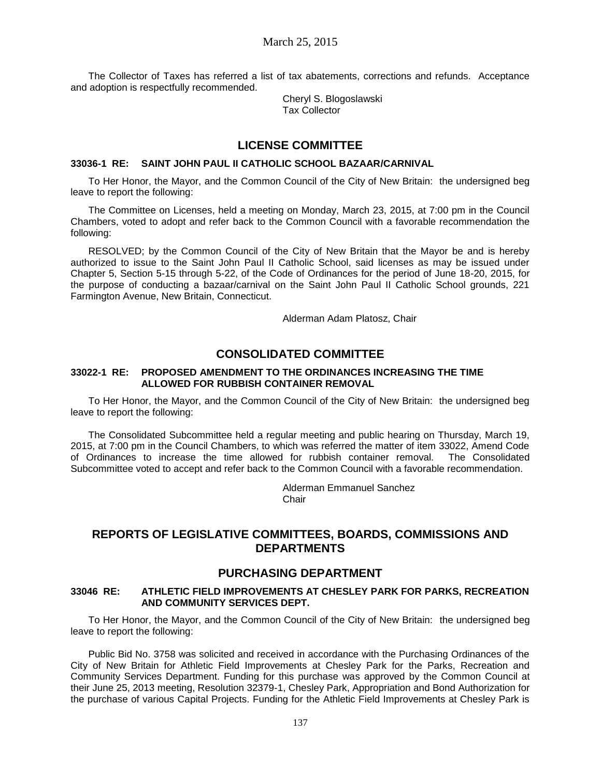The Collector of Taxes has referred a list of tax abatements, corrections and refunds. Acceptance and adoption is respectfully recommended.

> Cheryl S. Blogoslawski Tax Collector

## **LICENSE COMMITTEE**

### **33036-1 RE: SAINT JOHN PAUL II CATHOLIC SCHOOL BAZAAR/CARNIVAL**

To Her Honor, the Mayor, and the Common Council of the City of New Britain: the undersigned beg leave to report the following:

The Committee on Licenses, held a meeting on Monday, March 23, 2015, at 7:00 pm in the Council Chambers, voted to adopt and refer back to the Common Council with a favorable recommendation the following:

RESOLVED; by the Common Council of the City of New Britain that the Mayor be and is hereby authorized to issue to the Saint John Paul II Catholic School, said licenses as may be issued under Chapter 5, Section 5-15 through 5-22, of the Code of Ordinances for the period of June 18-20, 2015, for the purpose of conducting a bazaar/carnival on the Saint John Paul II Catholic School grounds, 221 Farmington Avenue, New Britain, Connecticut.

Alderman Adam Platosz, Chair

# **CONSOLIDATED COMMITTEE**

### **33022-1 RE: PROPOSED AMENDMENT TO THE ORDINANCES INCREASING THE TIME ALLOWED FOR RUBBISH CONTAINER REMOVAL**

To Her Honor, the Mayor, and the Common Council of the City of New Britain: the undersigned beg leave to report the following:

The Consolidated Subcommittee held a regular meeting and public hearing on Thursday, March 19, 2015, at 7:00 pm in the Council Chambers, to which was referred the matter of item 33022, Amend Code of Ordinances to increase the time allowed for rubbish container removal. The Consolidated Subcommittee voted to accept and refer back to the Common Council with a favorable recommendation.

> Alderman Emmanuel Sanchez Chair

## **REPORTS OF LEGISLATIVE COMMITTEES, BOARDS, COMMISSIONS AND DEPARTMENTS**

## **PURCHASING DEPARTMENT**

#### **33046 RE: ATHLETIC FIELD IMPROVEMENTS AT CHESLEY PARK FOR PARKS, RECREATION AND COMMUNITY SERVICES DEPT.**

To Her Honor, the Mayor, and the Common Council of the City of New Britain: the undersigned beg leave to report the following:

Public Bid No. 3758 was solicited and received in accordance with the Purchasing Ordinances of the City of New Britain for Athletic Field Improvements at Chesley Park for the Parks, Recreation and Community Services Department. Funding for this purchase was approved by the Common Council at their June 25, 2013 meeting, Resolution 32379-1, Chesley Park, Appropriation and Bond Authorization for the purchase of various Capital Projects. Funding for the Athletic Field Improvements at Chesley Park is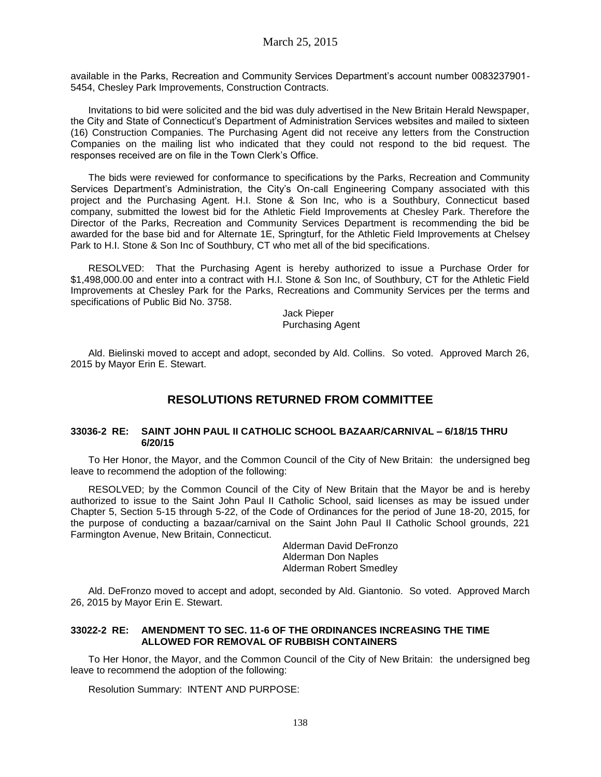available in the Parks, Recreation and Community Services Department's account number 0083237901- 5454, Chesley Park Improvements, Construction Contracts.

Invitations to bid were solicited and the bid was duly advertised in the New Britain Herald Newspaper, the City and State of Connecticut's Department of Administration Services websites and mailed to sixteen (16) Construction Companies. The Purchasing Agent did not receive any letters from the Construction Companies on the mailing list who indicated that they could not respond to the bid request. The responses received are on file in the Town Clerk's Office.

The bids were reviewed for conformance to specifications by the Parks, Recreation and Community Services Department's Administration, the City's On-call Engineering Company associated with this project and the Purchasing Agent. H.I. Stone & Son Inc, who is a Southbury, Connecticut based company, submitted the lowest bid for the Athletic Field Improvements at Chesley Park. Therefore the Director of the Parks, Recreation and Community Services Department is recommending the bid be awarded for the base bid and for Alternate 1E, Springturf, for the Athletic Field Improvements at Chelsey Park to H.I. Stone & Son Inc of Southbury, CT who met all of the bid specifications.

RESOLVED: That the Purchasing Agent is hereby authorized to issue a Purchase Order for \$1,498,000.00 and enter into a contract with H.I. Stone & Son Inc, of Southbury, CT for the Athletic Field Improvements at Chesley Park for the Parks, Recreations and Community Services per the terms and specifications of Public Bid No. 3758.

Jack Pieper Purchasing Agent

Ald. Bielinski moved to accept and adopt, seconded by Ald. Collins. So voted. Approved March 26, 2015 by Mayor Erin E. Stewart.

# **RESOLUTIONS RETURNED FROM COMMITTEE**

### **33036-2 RE: SAINT JOHN PAUL II CATHOLIC SCHOOL BAZAAR/CARNIVAL – 6/18/15 THRU 6/20/15**

To Her Honor, the Mayor, and the Common Council of the City of New Britain: the undersigned beg leave to recommend the adoption of the following:

RESOLVED; by the Common Council of the City of New Britain that the Mayor be and is hereby authorized to issue to the Saint John Paul II Catholic School, said licenses as may be issued under Chapter 5, Section 5-15 through 5-22, of the Code of Ordinances for the period of June 18-20, 2015, for the purpose of conducting a bazaar/carnival on the Saint John Paul II Catholic School grounds, 221 Farmington Avenue, New Britain, Connecticut.

> Alderman David DeFronzo Alderman Don Naples Alderman Robert Smedley

Ald. DeFronzo moved to accept and adopt, seconded by Ald. Giantonio. So voted. Approved March 26, 2015 by Mayor Erin E. Stewart.

### **33022-2 RE: AMENDMENT TO SEC. 11-6 OF THE ORDINANCES INCREASING THE TIME ALLOWED FOR REMOVAL OF RUBBISH CONTAINERS**

To Her Honor, the Mayor, and the Common Council of the City of New Britain: the undersigned beg leave to recommend the adoption of the following:

Resolution Summary: INTENT AND PURPOSE: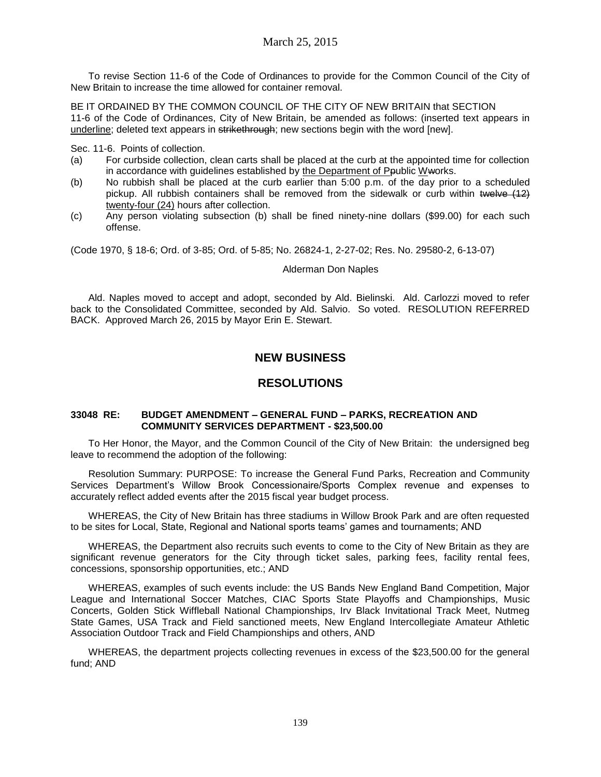To revise Section 11-6 of the Code of Ordinances to provide for the Common Council of the City of New Britain to increase the time allowed for container removal.

BE IT ORDAINED BY THE COMMON COUNCIL OF THE CITY OF NEW BRITAIN that SECTION 11-6 of the Code of Ordinances, City of New Britain, be amended as follows: (inserted text appears in underline; deleted text appears in strikethrough; new sections begin with the word [new].

Sec. 11-6. Points of collection.

- (a) For curbside collection, clean carts shall be placed at the curb at the appointed time for collection in accordance with guidelines established by the Department of Ppublic Wworks.
- (b) No rubbish shall be placed at the curb earlier than 5:00 p.m. of the day prior to a scheduled pickup. All rubbish containers shall be removed from the sidewalk or curb within twelve (12) twenty-four (24) hours after collection.
- (c) Any person violating subsection (b) shall be fined ninety-nine dollars (\$99.00) for each such offense.

(Code 1970, § 18-6; Ord. of 3-85; Ord. of 5-85; No. 26824-1, 2-27-02; Res. No. 29580-2, 6-13-07)

#### Alderman Don Naples

Ald. Naples moved to accept and adopt, seconded by Ald. Bielinski. Ald. Carlozzi moved to refer back to the Consolidated Committee, seconded by Ald. Salvio. So voted. RESOLUTION REFERRED BACK. Approved March 26, 2015 by Mayor Erin E. Stewart.

# **NEW BUSINESS**

## **RESOLUTIONS**

### **33048 RE: BUDGET AMENDMENT – GENERAL FUND – PARKS, RECREATION AND COMMUNITY SERVICES DEPARTMENT - \$23,500.00**

To Her Honor, the Mayor, and the Common Council of the City of New Britain: the undersigned beg leave to recommend the adoption of the following:

Resolution Summary: PURPOSE: To increase the General Fund Parks, Recreation and Community Services Department's Willow Brook Concessionaire/Sports Complex revenue and expenses to accurately reflect added events after the 2015 fiscal year budget process.

WHEREAS, the City of New Britain has three stadiums in Willow Brook Park and are often requested to be sites for Local, State, Regional and National sports teams' games and tournaments; AND

WHEREAS, the Department also recruits such events to come to the City of New Britain as they are significant revenue generators for the City through ticket sales, parking fees, facility rental fees, concessions, sponsorship opportunities, etc.; AND

WHEREAS, examples of such events include: the US Bands New England Band Competition, Major League and International Soccer Matches, CIAC Sports State Playoffs and Championships, Music Concerts, Golden Stick Wiffleball National Championships, Irv Black Invitational Track Meet, Nutmeg State Games, USA Track and Field sanctioned meets, New England Intercollegiate Amateur Athletic Association Outdoor Track and Field Championships and others, AND

WHEREAS, the department projects collecting revenues in excess of the \$23,500.00 for the general fund; AND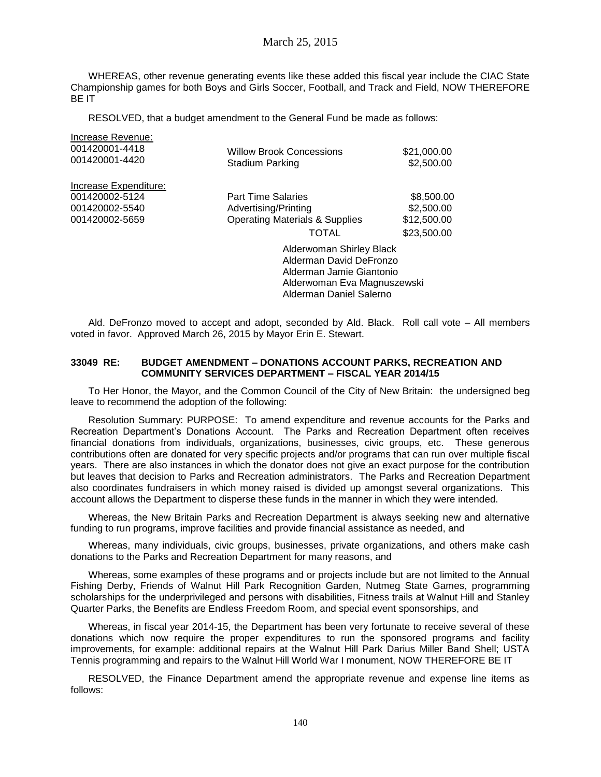## March 25, 2015

WHEREAS, other revenue generating events like these added this fiscal year include the CIAC State Championship games for both Boys and Girls Soccer, Football, and Track and Field, NOW THEREFORE BE IT

RESOLVED, that a budget amendment to the General Fund be made as follows:

| Increase Revenue:<br>001420001-4418<br>001420001-4420 | Willow Brook Concessions<br>Stadium Parking                                     | \$21,000.00<br>\$2,500.00 |
|-------------------------------------------------------|---------------------------------------------------------------------------------|---------------------------|
| Increase Expenditure:                                 |                                                                                 |                           |
| 001420002-5124                                        | <b>Part Time Salaries</b>                                                       | \$8,500.00                |
| 001420002-5540                                        | Advertising/Printing                                                            | \$2,500.00                |
| 001420002-5659                                        | <b>Operating Materials &amp; Supplies</b>                                       | \$12,500.00               |
|                                                       | TOTAL                                                                           | \$23,500.00               |
|                                                       | Alderwoman Shirley Black<br>Alderman David DeFronzo<br>Alderman Jamie Giantonio |                           |

Ald. DeFronzo moved to accept and adopt, seconded by Ald. Black. Roll call vote – All members voted in favor. Approved March 26, 2015 by Mayor Erin E. Stewart.

Alderwoman Eva Magnuszewski

Alderman Daniel Salerno

#### **33049 RE: BUDGET AMENDMENT – DONATIONS ACCOUNT PARKS, RECREATION AND COMMUNITY SERVICES DEPARTMENT – FISCAL YEAR 2014/15**

To Her Honor, the Mayor, and the Common Council of the City of New Britain: the undersigned beg leave to recommend the adoption of the following:

Resolution Summary: PURPOSE: To amend expenditure and revenue accounts for the Parks and Recreation Department's Donations Account. The Parks and Recreation Department often receives financial donations from individuals, organizations, businesses, civic groups, etc. These generous contributions often are donated for very specific projects and/or programs that can run over multiple fiscal years. There are also instances in which the donator does not give an exact purpose for the contribution but leaves that decision to Parks and Recreation administrators. The Parks and Recreation Department also coordinates fundraisers in which money raised is divided up amongst several organizations. This account allows the Department to disperse these funds in the manner in which they were intended.

Whereas, the New Britain Parks and Recreation Department is always seeking new and alternative funding to run programs, improve facilities and provide financial assistance as needed, and

Whereas, many individuals, civic groups, businesses, private organizations, and others make cash donations to the Parks and Recreation Department for many reasons, and

Whereas, some examples of these programs and or projects include but are not limited to the Annual Fishing Derby, Friends of Walnut Hill Park Recognition Garden, Nutmeg State Games, programming scholarships for the underprivileged and persons with disabilities, Fitness trails at Walnut Hill and Stanley Quarter Parks, the Benefits are Endless Freedom Room, and special event sponsorships, and

Whereas, in fiscal year 2014-15, the Department has been very fortunate to receive several of these donations which now require the proper expenditures to run the sponsored programs and facility improvements, for example: additional repairs at the Walnut Hill Park Darius Miller Band Shell; USTA Tennis programming and repairs to the Walnut Hill World War I monument, NOW THEREFORE BE IT

RESOLVED, the Finance Department amend the appropriate revenue and expense line items as follows: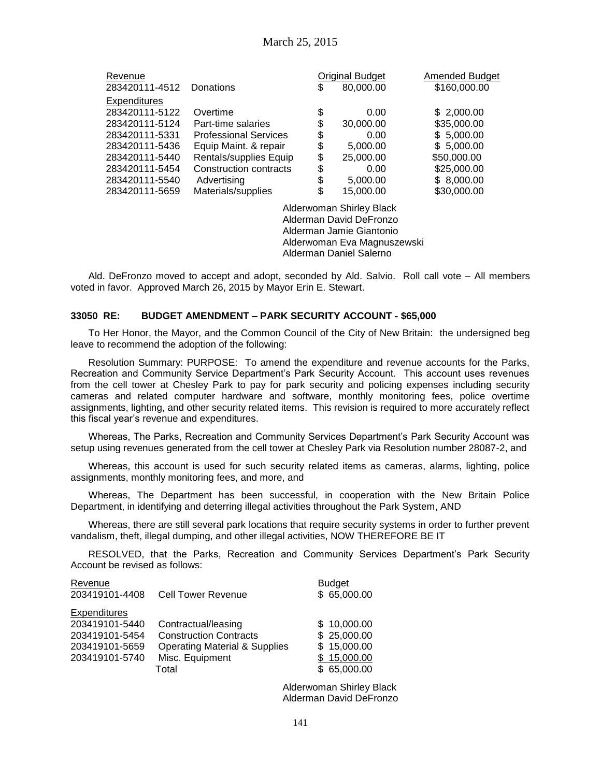| Revenue             |                              | Original Budget | Amended Budget |
|---------------------|------------------------------|-----------------|----------------|
| 283420111-4512      | Donations                    | \$<br>80,000.00 | \$160,000.00   |
| <b>Expenditures</b> |                              |                 |                |
| 283420111-5122      | Overtime                     | \$<br>0.00      | \$2,000.00     |
| 283420111-5124      | Part-time salaries           | \$<br>30,000.00 | \$35,000.00    |
| 283420111-5331      | <b>Professional Services</b> | \$<br>0.00      | \$5,000.00     |
| 283420111-5436      | Equip Maint. & repair        | \$<br>5,000.00  | \$5,000.00     |
| 283420111-5440      | Rentals/supplies Equip       | \$<br>25,000.00 | \$50,000.00    |
| 283420111-5454      | Construction contracts       | \$<br>0.00      | \$25,000.00    |
| 283420111-5540      | Advertising                  | \$<br>5,000.00  | \$8,000.00     |
| 283420111-5659      | Materials/supplies           | \$<br>15,000.00 | \$30,000.00    |
|                     | .                            |                 |                |

Alderwoman Shirley Black Alderman David DeFronzo Alderman Jamie Giantonio Alderwoman Eva Magnuszewski Alderman Daniel Salerno

Ald. DeFronzo moved to accept and adopt, seconded by Ald. Salvio. Roll call vote – All members voted in favor. Approved March 26, 2015 by Mayor Erin E. Stewart.

#### **33050 RE: BUDGET AMENDMENT – PARK SECURITY ACCOUNT - \$65,000**

To Her Honor, the Mayor, and the Common Council of the City of New Britain: the undersigned beg leave to recommend the adoption of the following:

Resolution Summary: PURPOSE: To amend the expenditure and revenue accounts for the Parks, Recreation and Community Service Department's Park Security Account. This account uses revenues from the cell tower at Chesley Park to pay for park security and policing expenses including security cameras and related computer hardware and software, monthly monitoring fees, police overtime assignments, lighting, and other security related items. This revision is required to more accurately reflect this fiscal year's revenue and expenditures.

Whereas, The Parks, Recreation and Community Services Department's Park Security Account was setup using revenues generated from the cell tower at Chesley Park via Resolution number 28087-2, and

Whereas, this account is used for such security related items as cameras, alarms, lighting, police assignments, monthly monitoring fees, and more, and

Whereas, The Department has been successful, in cooperation with the New Britain Police Department, in identifying and deterring illegal activities throughout the Park System, AND

Whereas, there are still several park locations that require security systems in order to further prevent vandalism, theft, illegal dumping, and other illegal activities, NOW THEREFORE BE IT

RESOLVED, that the Parks, Recreation and Community Services Department's Park Security Account be revised as follows:

| Revenue             |                                          | <b>Budget</b> |
|---------------------|------------------------------------------|---------------|
| 203419101-4408      | <b>Cell Tower Revenue</b>                | \$65,000.00   |
| <b>Expenditures</b> |                                          |               |
| 203419101-5440      | Contractual/leasing                      | \$10,000.00   |
| 203419101-5454      | <b>Construction Contracts</b>            | \$25,000.00   |
| 203419101-5659      | <b>Operating Material &amp; Supplies</b> | \$15,000.00   |
| 203419101-5740      | Misc. Equipment                          | \$15,000.00   |
|                     | Total                                    | \$65,000.00   |

Alderwoman Shirley Black Alderman David DeFronzo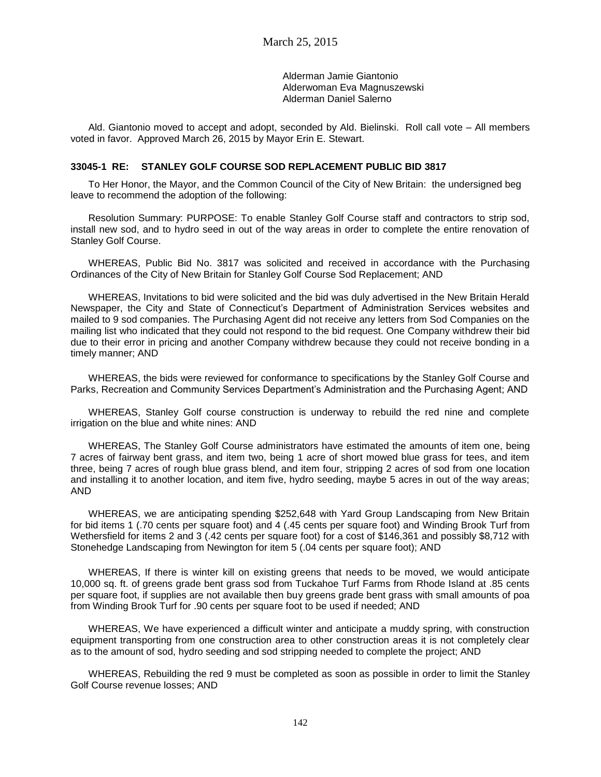Alderman Jamie Giantonio Alderwoman Eva Magnuszewski Alderman Daniel Salerno

Ald. Giantonio moved to accept and adopt, seconded by Ald. Bielinski. Roll call vote – All members voted in favor. Approved March 26, 2015 by Mayor Erin E. Stewart.

### **33045-1 RE: STANLEY GOLF COURSE SOD REPLACEMENT PUBLIC BID 3817**

To Her Honor, the Mayor, and the Common Council of the City of New Britain: the undersigned beg leave to recommend the adoption of the following:

Resolution Summary: PURPOSE: To enable Stanley Golf Course staff and contractors to strip sod, install new sod, and to hydro seed in out of the way areas in order to complete the entire renovation of Stanley Golf Course.

WHEREAS, Public Bid No. 3817 was solicited and received in accordance with the Purchasing Ordinances of the City of New Britain for Stanley Golf Course Sod Replacement; AND

WHEREAS, Invitations to bid were solicited and the bid was duly advertised in the New Britain Herald Newspaper, the City and State of Connecticut's Department of Administration Services websites and mailed to 9 sod companies. The Purchasing Agent did not receive any letters from Sod Companies on the mailing list who indicated that they could not respond to the bid request. One Company withdrew their bid due to their error in pricing and another Company withdrew because they could not receive bonding in a timely manner; AND

WHEREAS, the bids were reviewed for conformance to specifications by the Stanley Golf Course and Parks, Recreation and Community Services Department's Administration and the Purchasing Agent; AND

WHEREAS, Stanley Golf course construction is underway to rebuild the red nine and complete irrigation on the blue and white nines: AND

WHEREAS, The Stanley Golf Course administrators have estimated the amounts of item one, being 7 acres of fairway bent grass, and item two, being 1 acre of short mowed blue grass for tees, and item three, being 7 acres of rough blue grass blend, and item four, stripping 2 acres of sod from one location and installing it to another location, and item five, hydro seeding, maybe 5 acres in out of the way areas; AND

WHEREAS, we are anticipating spending \$252,648 with Yard Group Landscaping from New Britain for bid items 1 (.70 cents per square foot) and 4 (.45 cents per square foot) and Winding Brook Turf from Wethersfield for items 2 and 3 (.42 cents per square foot) for a cost of \$146,361 and possibly \$8,712 with Stonehedge Landscaping from Newington for item 5 (.04 cents per square foot); AND

WHEREAS, If there is winter kill on existing greens that needs to be moved, we would anticipate 10,000 sq. ft. of greens grade bent grass sod from Tuckahoe Turf Farms from Rhode Island at .85 cents per square foot, if supplies are not available then buy greens grade bent grass with small amounts of poa from Winding Brook Turf for .90 cents per square foot to be used if needed; AND

WHEREAS, We have experienced a difficult winter and anticipate a muddy spring, with construction equipment transporting from one construction area to other construction areas it is not completely clear as to the amount of sod, hydro seeding and sod stripping needed to complete the project; AND

WHEREAS, Rebuilding the red 9 must be completed as soon as possible in order to limit the Stanley Golf Course revenue losses; AND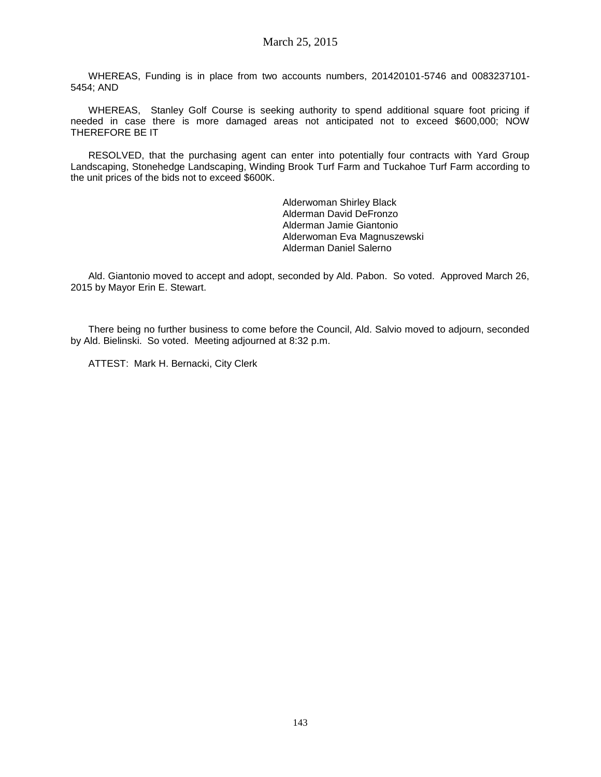WHEREAS, Funding is in place from two accounts numbers, 201420101-5746 and 0083237101- 5454; AND

WHEREAS, Stanley Golf Course is seeking authority to spend additional square foot pricing if needed in case there is more damaged areas not anticipated not to exceed \$600,000; NOW THEREFORE BE IT

RESOLVED, that the purchasing agent can enter into potentially four contracts with Yard Group Landscaping, Stonehedge Landscaping, Winding Brook Turf Farm and Tuckahoe Turf Farm according to the unit prices of the bids not to exceed \$600K.

> Alderwoman Shirley Black Alderman David DeFronzo Alderman Jamie Giantonio Alderwoman Eva Magnuszewski Alderman Daniel Salerno

Ald. Giantonio moved to accept and adopt, seconded by Ald. Pabon. So voted. Approved March 26, 2015 by Mayor Erin E. Stewart.

There being no further business to come before the Council, Ald. Salvio moved to adjourn, seconded by Ald. Bielinski. So voted. Meeting adjourned at 8:32 p.m.

ATTEST: Mark H. Bernacki, City Clerk